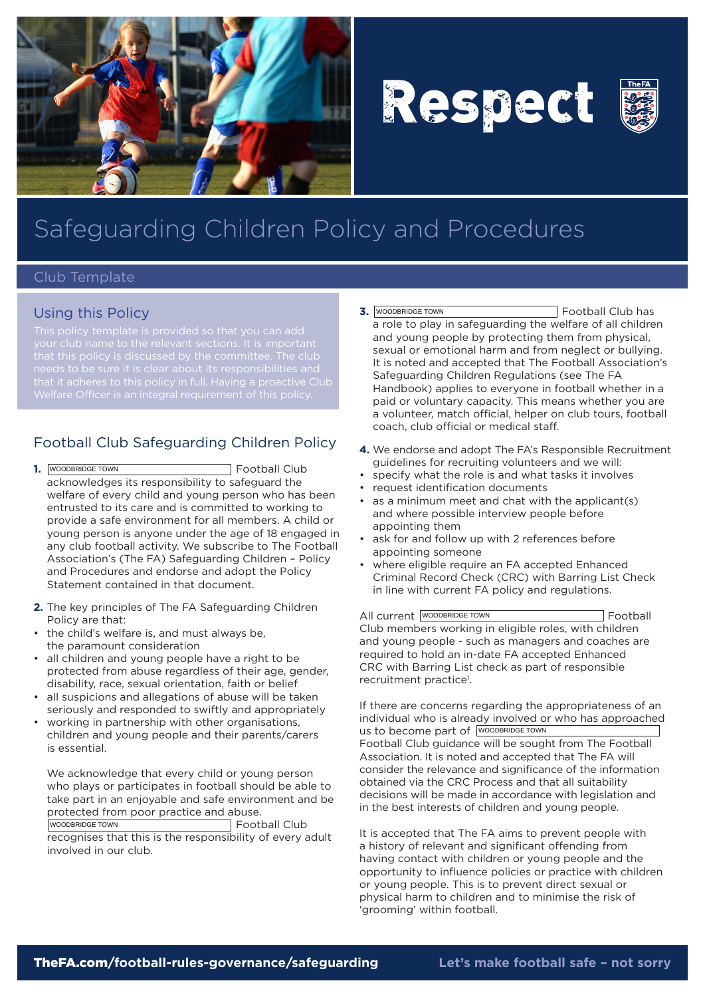

# Respect



## Safeguarding Children Policy and Procedures

#### Club Template

#### Using this Policy

that it adheres to this policy in full. Having a proactive Club

### Football Club Safeguarding Children Policy

- **1.** WOODBRIDGE TOWN **EXECUTE:** Football Club acknowledges its responsibility to safeguard the welfare of every child and young person who has been entrusted to its care and is committed to working to provide a safe environment for all members. A child or young person is anyone under the age of 18 engaged in any club football activity. We subscribe to The Football Association's (The FA) Safeguarding Children – Policy and Procedures and endorse and adopt the Policy Statement contained in that document.
- **2.** The key principles of The FA Safeguarding Children Policy are that:
- the child's welfare is, and must always be, the paramount consideration
- all children and young people have a right to be protected from abuse regardless of their age, gender, disability, race, sexual orientation, faith or belief
- all suspicions and allegations of abuse will be taken seriously and responded to swiftly and appropriately
- working in partnership with other organisations, children and young people and their parents/carers is essential.

We acknowledge that every child or young person who plays or participates in football should be able to take part in an enjoyable and safe environment and be protected from poor practice and abuse.

WOODBRIDGE TOWN **EXECUTE:** Football Club recognises that this is the responsibility of every adult involved in our club.

- **3.** Football Club has a role to play in safeguarding the welfare of all children and young people by protecting them from physical, sexual or emotional harm and from neglect or bullying. It is noted and accepted that The Football Association's Safeguarding Children Regulations (see The FA Handbook) applies to everyone in football whether in a paid or voluntary capacity. This means whether you are a volunteer, match official, helper on club tours, football coach, club official or medical staff. **3.** WOODBRIDGE TOWN
- **4.** We endorse and adopt The FA's Responsible Recruitment guidelines for recruiting volunteers and we will:
- • specify what the role is and what tasks it involves
- • request identification documents
- • as a minimum meet and chat with the applicant(s) and where possible interview people before appointing them
- ask for and follow up with 2 references before appointing someone
- where eligible require an FA accepted Enhanced Criminal Record Check (CRC) with Barring List Check in line with current FA policy and regulations.

All current WOODBRIDGE TOWN **Example 20** Football Club members working in eligible roles, with children and young people - such as managers and coaches are required to hold an in-date FA accepted Enhanced CRC with Barring List check as part of responsible recruitment practice<sup>1</sup>.

If there are concerns regarding the appropriateness of an individual who is already involved or who has approached us to become part of WOODBRIDGE TOWN Football Club guidance will be sought from The Football Association. It is noted and accepted that The FA will consider the relevance and significance of the information obtained via the CRC Process and that all suitability decisions will be made in accordance with legislation and in the best interests of children and young people.

It is accepted that The FA aims to prevent people with a history of relevant and significant offending from having contact with children or young people and the opportunity to influence policies or practice with children or young people. This is to prevent direct sexual or physical harm to children and to minimise the risk of 'grooming' within football.